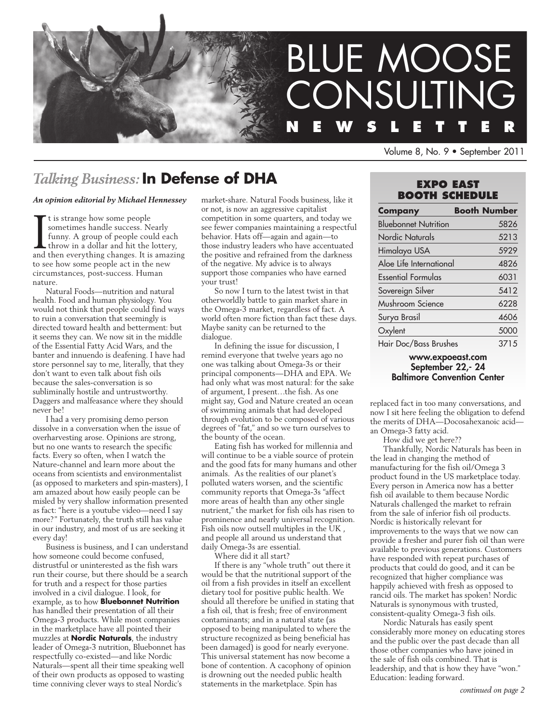

Volume 8, No. 9 • September 2011

# *Talking Business:* **In Defense of DHA**

### *An opinion editorial by Michael Hennessey*

It is strange how some people<br>sometimes handle success. Nearly<br>funny. A group of people could each<br>throw in a dollar and hit the lottery,<br>and then everything changes. It is amazing t is strange how some people sometimes handle success. Nearly funny. A group of people could each throw in a dollar and hit the lottery, to see how some people act in the new circumstances, post-success. Human nature.

Natural Foods—nutrition and natural health. Food and human physiology. You would not think that people could find ways to ruin a conversation that seemingly is directed toward health and betterment: but it seems they can. We now sit in the middle of the Essential Fatty Acid Wars, and the banter and innuendo is deafening. I have had store personnel say to me, literally, that they don't want to even talk about fish oils because the sales-conversation is so subliminally hostile and untrustworthy. Daggers and malfeasance where they should never be!

I had a very promising demo person dissolve in a conversation when the issue of overharvesting arose. Opinions are strong, but no one wants to research the specific facts. Every so often, when I watch the Nature-channel and learn more about the oceans from scientists and environmentalist (as opposed to marketers and spin-masters), I am amazed about how easily people can be misled by very shallow information presented as fact: "here is a youtube video—need I say more?" Fortunately, the truth still has value in our industry, and most of us are seeking it every day!

Business is business, and I can understand how someone could become confused, distrustful or uninterested as the fish wars run their course, but there should be a search for truth and a respect for those parties involved in a civil dialogue. I look, for example, as to how **Bluebonnet Nutrition** has handled their presentation of all their Omega-3 products. While most companies in the marketplace have all pointed their muzzles at **Nordic Naturals**, the industry leader of Omega-3 nutrition, Bluebonnet has respectfully co-existed—and like Nordic Naturals—spent all their time speaking well of their own products as opposed to wasting time conniving clever ways to steal Nordic's

market-share. Natural Foods business, like it or not, is now an aggressive capitalist competition in some quarters, and today we see fewer companies maintaining a respectful behavior. Hats off—again and again—to those industry leaders who have accentuated the positive and refrained from the darkness of the negative. My advice is to always support those companies who have earned your trust!

So now I turn to the latest twist in that otherworldly battle to gain market share in the Omega-3 market, regardless of fact. A world often more fiction than fact these days. Maybe sanity can be returned to the dialogue.

In defining the issue for discussion, I remind everyone that twelve years ago no one was talking about Omega-3s or their principal components—DHA and EPA. We had only what was most natural: for the sake of argument, I present…the fish. As one might say, God and Nature created an ocean of swimming animals that had developed through evolution to be composed of various degrees of "fat," and so we turn ourselves to the bounty of the ocean.

Eating fish has worked for millennia and will continue to be a viable source of protein and the good fats for many humans and other animals. As the realities of our planet's polluted waters worsen, and the scientific community reports that Omega-3s "affect more areas of health than any other single nutrient," the market for fish oils has risen to prominence and nearly universal recognition. Fish oils now outsell multiples in the UK , and people all around us understand that daily Omega-3s are essential.

Where did it all start?

If there is any "whole truth" out there it would be that the nutritional support of the oil from a fish provides in itself an excellent dietary tool for positive public health. We should all therefore be unified in stating that a fish oil, that is fresh; free of environment contaminants; and in a natural state (as opposed to being manipulated to where the structure recognized as being beneficial has been damaged) is good for nearly everyone. This universal statement has now become a bone of contention. A cacophony of opinion is drowning out the needed public health statements in the marketplace. Spin has

## **EXPO EAST Booth Schedule**

| <b>Company</b>              | <b>Booth Number</b> |
|-----------------------------|---------------------|
| <b>Bluebonnet Nutrition</b> | 5826                |
| Nordic Naturals             | 5213                |
| Himalaya USA                | 5929                |
| Aloe Life International     | 4826                |
| <b>Essential Formulas</b>   | 6031                |
| Sovereign Silver            | 5412                |
| Mushroom Science            | 6228                |
| Surya Brasil                | 4606                |
| Oxylent                     | 5000                |
| Hair Doc/Bass Brushes       | 3715                |

www.expoeast.com September 22,- 24 Baltimore Convention Center

replaced fact in too many conversations, and now I sit here feeling the obligation to defend the merits of DHA—Docosahexanoic acid an Omega-3 fatty acid.

How did we get here??

Thankfully, Nordic Naturals has been in the lead in changing the method of manufacturing for the fish oil/Omega 3 product found in the US marketplace today. Every person in America now has a better fish oil available to them because Nordic Naturals challenged the market to refrain from the sale of inferior fish oil products. Nordic is historically relevant for improvements to the ways that we now can provide a fresher and purer fish oil than were available to previous generations. Customers have responded with repeat purchases of products that could do good, and it can be recognized that higher compliance was happily achieved with fresh as opposed to rancid oils. The market has spoken! Nordic Naturals is synonymous with trusted, consistent-quality Omega-3 fish oils.

Nordic Naturals has easily spent considerably more money on educating stores and the public over the past decade than all those other companies who have joined in the sale of fish oils combined. That is leadership, and that is how they have "won." Education: leading forward.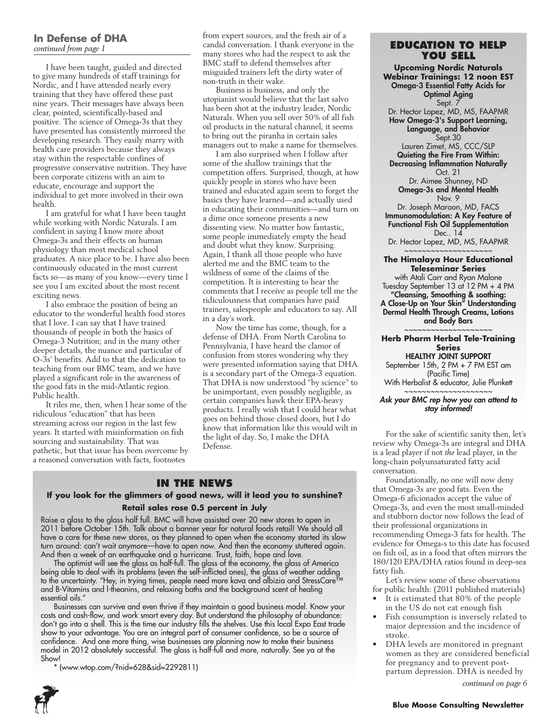### **In Defense of DHA** *continued from page 1*

I have been taught, guided and directed to give many hundreds of staff trainings for Nordic, and I have attended nearly every training that they have offered these past nine years. Their messages have always been clear, pointed, scientifically-based and positive. The science of Omega-3s that they have presented has consistently mirrored the developing research. They easily marry with health care providers because they always stay within the respectable confines of progressive conservative nutrition. They have been corporate citizens with an aim to educate, encourage and support the individual to get more involved in their own health.

I am grateful for what I have been taught while working with Nordic Naturals. I am confident in saying I know more about Omega-3s and their effects on human physiology than most medical school graduates. A nice place to be. I have also been continuously educated in the most current facts so—as many of you know—every time I see you I am excited about the most recent exciting news.

I also embrace the position of being an educator to the wonderful health food stores that I love. I can say that I have trained thousands of people in both the basics of Omega-3 Nutrition; and in the many other deeper details, the nuance and particular of O-3s' benefits. Add to that the dedication to teaching from our BMC team, and we have played a significant role in the awareness of the good fats in the mid-Atlantic region. Public health.

It riles me, then, when I hear some of the ridiculous "education" that has been streaming across our region in the last few years. It started with misinformation on fish sourcing and sustainability. That was pathetic, but that issue has been overcome by a reasoned conversation with facts, footnotes

from expert sources, and the fresh air of a candid conversation. I thank everyone in the many stores who had the respect to ask the BMC staff to defend themselves after misguided trainers left the dirty water of non-truth in their wake.

Business is business, and only the utopianist would believe that the last salvo has been shot at the industry leader, Nordic Naturals. When you sell over 50% of all fish oil products in the natural channel, it seems to bring out the piranha in certain sales managers out to make a name for themselves.

I am also surprised when I follow after some of the shallow trainings that the competition offers. Surprised, though, at how quickly people in stores who have been trained and educated again seem to forget the basics they have learned—and actually used in educating their communities—and turn on a dime once someone presents a new dissenting view. No matter how fantastic, some people immediately empty the head and doubt what they know. Surprising. Again, I thank all those people who have alerted me and the BMC team to the wildness of some of the claims of the competition. It is interesting to hear the comments that I receive as people tell me the ridiculousness that companies have paid trainers, salespeople and educators to say. All in a day's work.

Now the time has come, though, for a defense of DHA. From North Carolina to Pennsylvania, I have heard the clamor of confusion from stores wondering why they were presented information saying that DHA is a secondary part of the Omega-3 equation. That DHA is now understood "by science" to be unimportant, even possibly negligible, as certain companies hawk their EPA-heavy products. I really wish that I could hear what goes on behind those closed doors, but I do know that information like this would wilt in the light of day. So, I make the DHA Defense.

### **In the News**

### **If you look for the glimmers of good news, will it lead you to sunshine? Retail sales rose 0.5 percent in July**

Raise a glass to the glass half full. BMC will have assisted over 20 new stores to open in 2011 before October 15th. Talk about a banner year for natural foods retail! We should all have a care for these new stores, as they planned to open when the economy started its slow turn around: can't wait anymore—have to open now. And then the economy stuttered again. And then a week of an earthquake and a hurricane. Trust, faith, hope and love.

The optimist will see the glass as half-full. The glass of the economy, the glass of America being able to deal with its problems (even the self-inflicted ones), the glass of weather adding to the uncertainty. "Hey, in trying times, people need more kava and albizia and StressCare™ and B-Vitamins and l-theanins, and relaxing baths and the background scent of healing essential oils."

Businesses can survive and even thrive if they maintain a good business model. Know your costs and cash-flow, and work smart every day. But understand the philosophy of abundance: don't go into a shell. This is the time our industry fills the shelves. Use this local Expo East trade show to your advantage. You are an integral part of consumer confidence, so be a source of confidence. And one more thing, wise businesses are planning now to make their business model in 2012 absolutely successful. The glass is half-full and more, naturally. See ya at the Show!

\* (www.wtop.com/?nid=628&sid=2292811)



### **Education to Help You Sell**

**Upcoming Nordic Naturals Webinar Trainings: 12 noon EST** Omega-3 Essential Fatty Acids for Optimal Aging Sept. 7 Dr. Hector Lopez, MD, MS, FAAPMR How Omega-3's Support Learning, Language, and Behavior Sept.30 Lauren Zimet, MS, CCC/SLP Quieting the Fire From Within: Decreasing Inflammation Naturally Oct. 21 Dr. Aimee Shunney, ND Omega-3s and Mental Health Nov. 9 Dr. Joseph Maroon, MD, FACS Immunomodulation: A Key Feature of Functional Fish Oil Supplementation Dec.. 14

Dr. Hector Lopez, MD, MS, FAAPMR ~~~~~~~~~~~~~~~~~~~~

### **The Himalaya Hour Educational Teleseminar Series**

with Atali Carr and Ryan Malone Tuesday September 13 at 12 PM + 4 PM "Cleansing, Smoothing & soothing: A Close-Up on Your Skin" Understanding Dermal Health Through Creams, Lotions and Body Bars

### ~~~~~~~~~~~~~~~~~~~~ **Herb Pharm Herbal Tele-Training Series** HEALTHY JOINT SUPPORT

September 15th, 2 PM + 7 PM EST am (Pacific Time) With Herbalist & educator, Julie Plunkett

~~~~~~~~~~~~~~~~~~~~

### *Ask your BMC rep how you can attend to stay informed!*

For the sake of scientific sanity then, let's review why Omega-3s are integral and DHA is a lead player if not *the* lead player, in the long-chain polyunsaturated fatty acid conversation.

Foundationally, no one will now deny that Omega-3s are good fats. Even the Omega-6 aficionados accept the value of Omega-3s, and even the most small-minded and stubborn doctor now follows the lead of their professional organizations in recommending Omega-3 fats for health. The evidence for Omega-s to this date has focused on fish oil, as in a food that often mirrors the 180/120 EPA/DHA ratios found in deep-sea fatty fish.

Let's review some of these observations for public health: (2011 published materials)

- It is estimated that 80% of the people in the US do not eat enough fish
- Fish consumption is inversely related to major depression and the incidence of stroke.
- DHA levels are monitored in pregnant women as they are considered beneficial for pregnancy and to prevent postpartum depression. DHA is needed by *continued on page 6*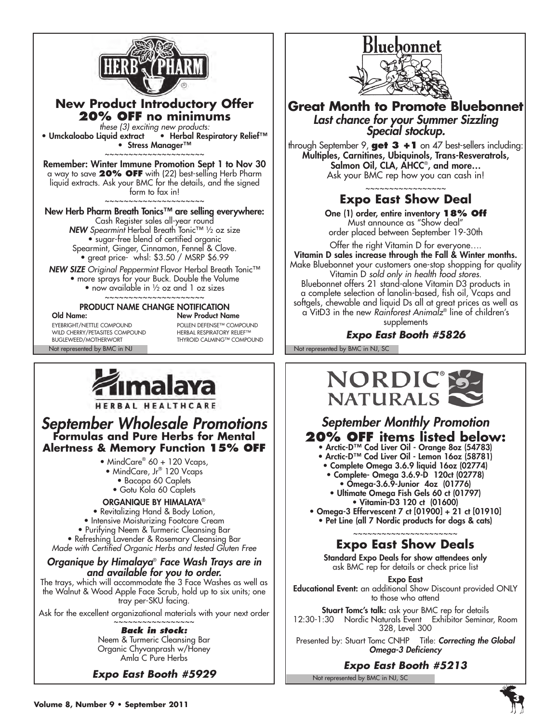

## **New Product Introductory Offer 20% OFF no minimums**

*these (3) exciting new products:*<br>• Umckaloabo Liquid extract • Herbal Resp • Herbal Respiratory Relief™ • Stress Manager™ ~~~~~~~~~~~~~~~~~~~

Remember: Winter Immune Promotion Sept 1 to Nov 30 a way to save **20% OFF** with (22) best-selling Herb Pharm liquid extracts. Ask your BMC for the details, and the signed form to fax in! ~~~~~~~~~~~~~~~~~~~

New Herb Pharm Breath Tonics™ are selling everywhere: Cash Register sales all-year round *NEW Spearmint* Herbal Breath Tonic™ ½ oz size • sugar-free blend of certified organic Spearmint, Ginger, Cinnamon, Fennel & Clove. • great price- whsl: \$3.50 / MSRP \$6.99

*NEW SIZE Original Peppermint* Flavor Herbal Breath Tonic™ • more sprays for your Buck. Double the Volume • now available in 1/2 oz and 1 oz sizes

~~~~~~~~~~~~~~~~~~~

# **PRODUCT NAME CHANGE NOTIFICATION**<br>Old Name: New Product Na

EYEBRIGHT/NETTLE COMPOUND<br>
WILD CHERRY/PETASITES COMPOUND PERBAL RESPIRATORY RELIEF™ WILD CHERRY/PETASITES COMPOUND<br>BUGLEWEED/MOTHERWORT

**New Product Name** THYROID CALMING™ COMPOUND



HERBAL HEALTHCARE

# *September Wholesale Promotions* **Formulas and Pure Herbs for Mental Alertness & Memory Function 15% OFF**

- MindCare® 60 + 120 Vcaps,
- MindCare, Jr® 120 Vcaps
	- Bacopa 60 Caplets
	- Gotu Kola 60 Caplets

### Organique by Himalaya®

• Revitalizing Hand & Body Lotion,

- Intensive Moisturizing Footcare Cream
- Purifying Neem & Turmeric Cleansing Bar
- Refreshing Lavender & Rosemary Cleansing Bar
- *Made with Certified Organic Herbs and tested Gluten Free*

## *Organique by Himalaya*®  *Face Wash Trays are in and available for you to order.*

The trays, which will accommodate the 3 Face Washes as well as the Walnut & Wood Apple Face Scrub, hold up to six units; one tray per-SKU facing.

Ask for the excellent organizational materials with your next order

### ~~~~~~~~~~~~~~~ *Back in stock:*

Neem & Turmeric Cleansing Bar Organic Chyvanprash w/Honey Amla C Pure Herbs

*Expo East Booth #5929*



**Great Month to Promote Bluebonnet** *Last chance for your Summer Sizzling Special stockup.*

through September 9, **get 3 +1** on 47 best-sellers including: Multiples, Carnitines, Ubiquinols, Trans-Resveratrols, Salmon Oil, CLA, AHCC® , and more… Ask your BMC rep how you can cash in!

### ~~~~~~~~~~~~~~~~~ **Expo East Show Deal**

One (1) order, entire inventory **18% Off** Must announce as "Show deal" order placed between September 19-30th

Offer the right Vitamin D for everyone…. Vitamin D sales increase through the Fall & Winter months. Make Bluebonnet your customers one-stop shopping for quality Vitamin D *sold only in health food stores.* Bluebonnet offers 21 stand-alone Vitamin D3 products in a complete selection of lanolin-based, fish oil, Vcaps and softgels, chewable and liquid Ds all at great prices as well as a VitD3 in the new *Rainforest Animalz*® line of children's supplements

## *Expo East Booth #5826*

Not represented by BMC in NJ Not represented by BMC in NJ, SC



# *September Monthly Promotion* **20% off items listed below:**

- Arctic-D™ Cod Liver Oil Orange 8oz (54783) • Arctic-D™ Cod Liver Oil - Lemon 16oz (58781)
- Complete Omega 3.6.9 liquid 16oz (02774)
	- Complete- Omega 3.6.9-D 120ct (02778)
	- Omega-3.6.9-Junior 4oz (01776)
	- Ultimate Omega Fish Gels 60 ct (01797) • Vitamin-D3 120 ct (01600)
- Omega-3 Effervescent 7 ct [01900] + 21 ct [01910] • Pet Line (all 7 Nordic products for dogs & cats)

### ~~~~~~~~~~~~~~~~~~~~ **Expo East Show Deals**

Standard Expo Deals for show attendees only ask BMC rep for details or check price list

Expo East Educational Event: an additional Show Discount provided ONLY to those who attend

Stuart Tomc's talk: ask your BMC rep for details 12:30-1:30 Nordic Naturals Event Exhibitor Seminar, Room 328, Level 300

Presented by: Stuart Tomc CNHP Title: *Correcting the Global Omega-3 Deficiency*

*Expo East Booth #5213*

Not represented by BMC in NJ, SC

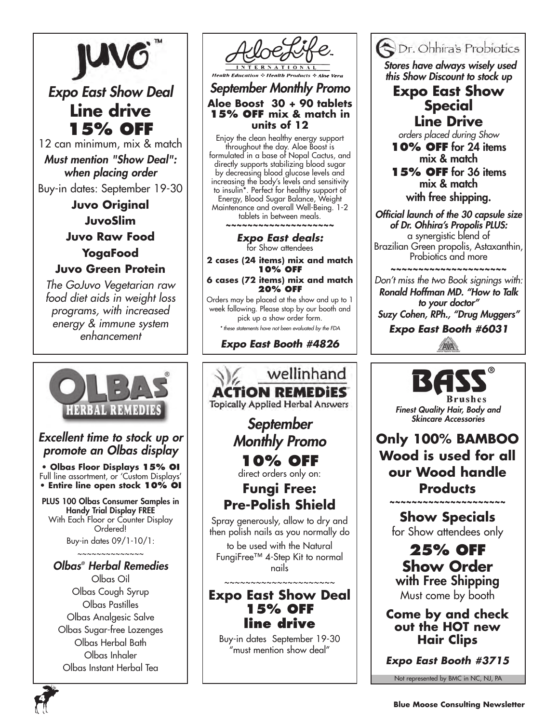

*Expo East Show Deal* **Line drive 15% OFF**

12 can minimum, mix & match *Must mention "Show Deal": when placing order*

Buy-in dates: September 19-30 **Juvo Original JuvoSlim Juvo Raw Food YogaFood Juvo Green Protein**

*The GoJuvo Vegetarian raw food diet aids in weight loss programs, with increased energy & immune system enhancement*



# *Excellent time to stock up or promote an Olbas display*

**• Olbas Floor Displays 15% OI** Full line assortment, or 'Custom Displays' **• Entire line open stock 10% OI**

PLUS 100 Olbas Consumer Samples in Handy Trial Display FREE With Each Floor or Counter Display Ordered!

Buy-in dates 09/1-10/1:

### ~~~~~~~~~~~~~~ *Olbas® Herbal Remedies*

Olbas Oil Olbas Cough Syrup Olbas Pastilles Olbas Analgesic Salve Olbas Sugar-free Lozenges Olbas Herbal Bath Olbas Inhaler Olbas Instant Herbal Tea



## *September Monthly Promo* **Aloe Boost 30 + 90 tablets 15% Off mix & match in units of 12**

Enjoy the clean healthy energy support throughout the day. Aloe Boost is formulated in a base of Nopal Cactus, and directly supports stabilizing blood sugar by decreasing blood glucose levels and increasing the body's levels and sensitivity to insulin\*. Perfect for healthy support of Energy, Blood Sugar Balance, Weight Maintenance and overall Well-Being. 1-2 tablets in between meals. **~~~~~~~~~~~~~~~~~~~~**

> *Expo East deals:* for Show attendees

**2 cases (24 items) mix and match 10% off**

**6 cases (72 items) mix and match 20% off**

Orders may be placed at the show and up to 1 week following. Please stop by our booth and pick up a show order form. *\* these statements have not been evaluated by the FDA*

*Expo East Booth #4826*



Buy-in dates September 19-30 "must mention show deal"



 *Stores have always wisely used this Show Discount to stock up*

# **Expo East Show Special Line Drive**

*orders placed during Show*

**10% OFF** for 24 items mix & match

**15% OFF** for 36 items mix & match with free shipping.

*Official launch of the 30 capsule size of Dr. Ohhira's Propolis PLUS:*  a synergistic blend of Brazilian Green propolis, Astaxanthin, Probiotics and more

~~~~~~~~~~~~~~~~~~~~~~~~~~

*Don't miss the two Book signings with: Ronald Hoffman MD. "How to Talk to your doctor" Suzy Cohen, RPh., "Drug Muggers"*

*Expo East Booth #6031*



*Finest Quality Hair, Body and Skincare Accessories*

**Only 100% BAMBOO Wood is used for all our Wood handle Products**

> **Show Specials** for Show attendees only

> ~~~~~~~~~~~~~~~~~

**25% OFF Show Order** with Free Shipping Must come by booth

**Come by and check out the HOT new Hair Clips**

*Expo East Booth #3715*

Not represented by BMC in NC, NJ, PA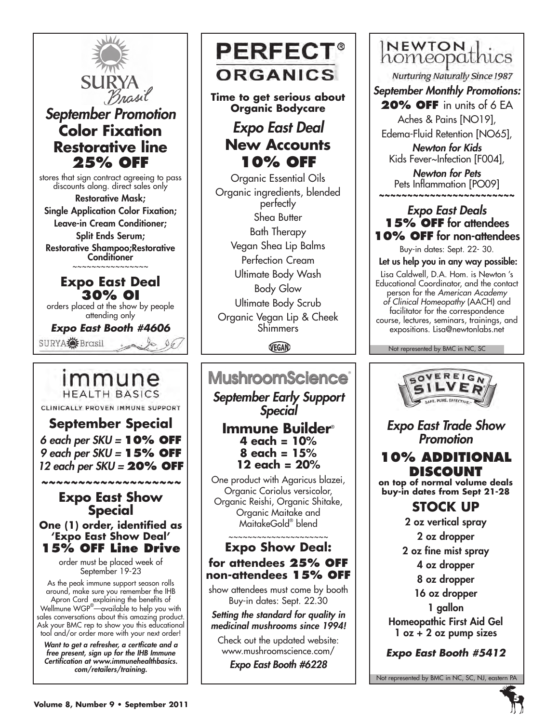

# *September Promotion* **Color Fixation Restorative line 25% OFF**

stores that sign contract agreeing to pass discounts along. direct sales only Restorative Mask; Single Application Color Fixation; Leave-in Cream Conditioner; Split Ends Serum; Restorative Shampoo;Restorative Conditioner

~~~~~~~~~~~~~~~~

# **Expo East Deal 30% OI**

orders placed at the show by people attending only

*Expo East Booth #4606* SURYA Frasil

# immune **HEALTH BASICS**

CLINICALLY PROVEN IMMUNE SUPPORT

**September Special** *6 each per SKU =* **10% off** *9 each per SKU =* **15% off** *12 each per SKU =* **20% off**

## *~~~~~~~~~~~~~~~~~~~* **Expo East Show Special**

**One (1) order, identified as 'Expo East Show Deal' 15% OFF Line Drive**

> order must be placed week of September 19-23

As the peak immune support season rolls around, make sure you remember the IHB Apron Card explaining the benefits of Wellmune WGP® —available to help you with sales conversations about this amazing product. Ask your BMC rep to show you this educational tool and/or order more with your next order!

*Want to get a refresher, a certficate and a free present, sign up for the IHB Immune Certification at www.immunehealthbasics. com/retailers/training.* 



**Time to get serious about Organic Bodycare**

# *Expo East Deal* **New Accounts 10% OFF**

Organic Essential Oils Organic ingredients, blended perfectly Shea Butter Bath Therapy Vegan Shea Lip Balms Perfection Cream Ultimate Body Wash Body Glow Ultimate Body Scrub Organic Vegan Lip & Cheek **Shimmers** 

VEGAN

# **MushroomScience**

*September Early Support Special*

## **Immune Builder**® **4 each = 10% 8 each = 15% 12 each = 20%**

One product with Agaricus blazei, Organic Coriolus versicolor, Organic Reishi, Organic Shitake, Organic Maitake and MaitakeGold® blend

## ~~~~~~~~~~~~~~~~~~~~~ **Expo Show Deal: for attendees 25% OFF non-attendees 15% OFF**

show attendees must come by booth Buy-in dates: Sept. 22.30

*Setting the standard for quality in medicinal mushrooms since 1994!*

Check out the updated website: www.mushroomscience.com/

*Expo East Booth #6228*

# **NEWTON**<br>homeopathics

**Nurturing Naturally Since 1987** 

*September Monthly Promotions:* **20% off** in units of 6 EA

Aches & Pains [NO19],

Edema-Fluid Retention [NO65],

*Newton for Kids* Kids Fever~Infection [F004],

*Newton for Pets* Pets Inflammation [PO09] ~~~~~~~~~~~~~~~~~~~~~

# *Expo East Deals* **15% OFF** for attendees **10% OFF** for non-attendees

Buy-in dates: Sept. 22- 30.

Let us help you in any way possible:

Lisa Caldwell, D.A. Hom. is Newton 's Educational Coordinator, and the contact person for the *American Academy of Clinical Homeopathy* (AACH) and facilitator for the correspondence course, lectures, seminars, trainings, and expositions. Lisa@newtonlabs.net

Not represented by BMC in NC, SC



*Expo East Trade Show Promotion*

# **10% additional discount**

**on top of normal volume deals buy-in dates from Sept 21-28**

# **STOCK UP**

2 oz vertical spray

2 oz dropper

2 oz fine mist spray

4 oz dropper

8 oz dropper

16 oz dropper

1 gallon

Homeopathic First Aid Gel 1 oz + 2 oz pump sizes

*Expo East Booth #5412*

Not represented by BMC in NC, SC, NJ, eastern PA

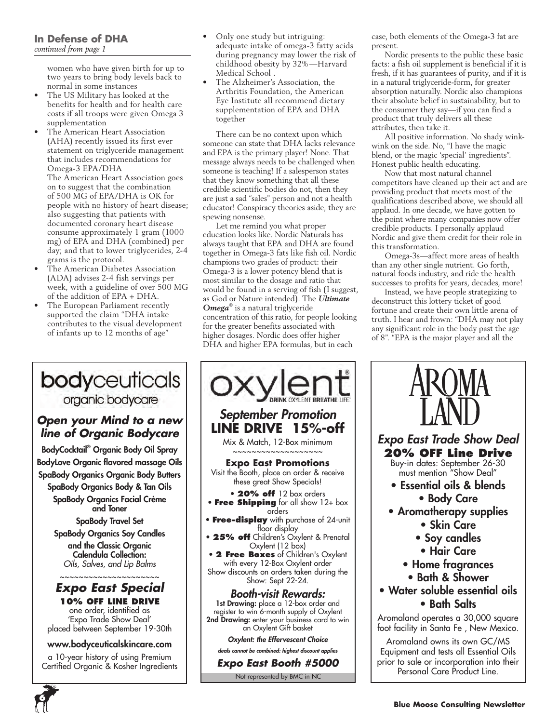women who have given birth for up to two years to bring body levels back to normal in some instances

- The US Military has looked at the benefits for health and for health care costs if all troops were given Omega 3 supplementation
- The American Heart Association (AHA) recently issued its first ever statement on triglyceride management that includes recommendations for Omega-3 EPA/DHA The American Heart Association goes on to suggest that the combination of 500 MG of EPA/DHA is OK for people with no history of heart disease; also suggesting that patients with documented coronary heart disease consume approximately 1 gram (1000 mg) of EPA and DHA (combined) per day; and that to lower triglycerides, 2-4 grams is the protocol.
- The American Diabetes Association (ADA) advises 2-4 fish servings per week, with a guideline of over 500 MG of the addition of EPA + DHA.
- The European Parliament recently supported the claim "DHA intake contributes to the visual development of infants up to 12 months of age"

# bodyceuticals organic bodycare

## *Open your Mind to a new line of Organic Bodycare*

BodyCocktail® Organic Body Oil Spray BodyLove Organic flavored massage Oils SpaBody Organics Organic Body Butters SpaBody Organics Body & Tan Oils

SpaBody Organics Facial Crème and Toner

SpaBody Travel Set SpaBody Organics Soy Candles and the Classic Organic Calendula Collection: *Oils, Salves, and Lip Balms*

## ~~~~~~~~~~~~~~~~~~~ *Expo East Special*

**10% OFF LINE DRIVE** one order, identified as 'Expo Trade Show Deal' placed between September 19-30th

### www.bodyceuticalskincare.com

a 10-year history of using Premium Certified Organic & Kosher Ingredients

**6**

- Only one study but intriguing: adequate intake of omega-3 fatty acids during pregnancy may lower the risk of childhood obesity by 32%—Harvard Medical School .
- The Alzheimer's Association, the Arthritis Foundation, the American Eye Institute all recommend dietary supplementation of EPA and DHA together

There can be no context upon which someone can state that DHA lacks relevance and EPA is the primary player! None. That message always needs to be challenged when someone is teaching! If a salesperson states that they know something that all these credible scientific bodies do not, then they are just a sad "sales" person and not a health educator! Conspiracy theories aside, they are spewing nonsense.

Let me remind you what proper education looks like. Nordic Naturals has always taught that EPA and DHA are found together in Omega-3 fats like fish oil. Nordic champions two grades of product: their Omega-3 is a lower potency blend that is most similar to the dosage and ratio that would be found in a serving of fish (I suggest, as God or Nature intended). The *Ultimate Omega*® is a natural triglyceride concentration of this ratio, for people looking for the greater benefits associated with higher dosages. Nordic does offer higher DHA and higher EPA formulas, but in each



case, both elements of the Omega-3 fat are present.

Nordic presents to the public these basic facts: a fish oil supplement is beneficial if it is fresh, if it has guarantees of purity, and if it is in a natural triglyceride-form, for greater absorption naturally. Nordic also champions their absolute belief in sustainability, but to the consumer they say—if you can find a product that truly delivers all these attributes, then take it.

All positive information. No shady winkwink on the side. No, "I have the magic blend, or the magic 'special' ingredients". Honest public health educating.

Now that most natural channel competitors have cleaned up their act and are providing product that meets most of the qualifications described above, we should all applaud. In one decade, we have gotten to the point where many companies now offer credible products. I personally applaud Nordic and give them credit for their role in this transformation.

Omega-3s—affect more areas of health than any other single nutrient. Go forth, natural foods industry, and ride the health successes to profits for years, decades, more!

Instead, we have people strategizing to deconstruct this lottery ticket of good fortune and create their own little arena of truth. I hear and frown: "DHA may not play any significant role in the body past the age of 8". "EPA is the major player and all the

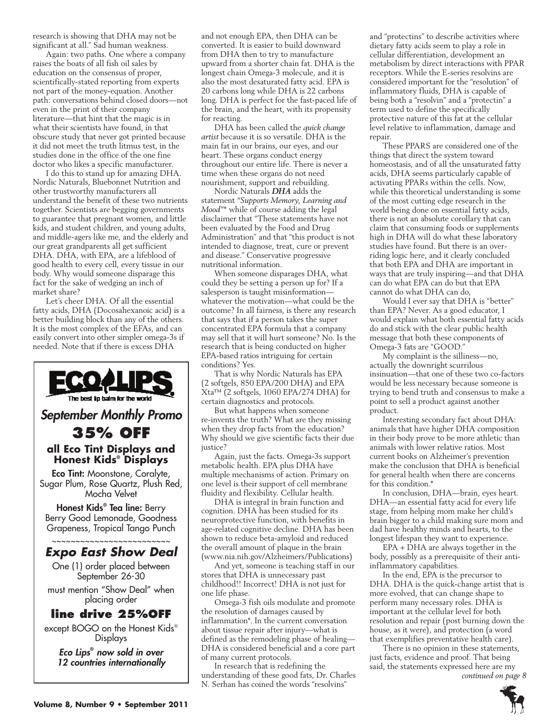research is showing that DHA may not be significant at all." Sad human weakness.

Again: two paths. One where a company raises the boats of all fish oil sales by education on the consensus of proper, scientifically-stated reporting from experts not part of the money-equation. Another path: conversations behind closed doors—not even in the print of their company literature—that hint that the magic is in what their scientists have found, in that obscure study that never got printed because it did not meet the truth litmus test, in the studies done in the office of the one fine doctor who likes a specific manufacturer.

I do this to stand up for amazing DHA. Nordic Naturals, Bluebonnet Nutrition and other trustworthy manufacturers all understand the benefit of these two nutrients together. Scientists are begging governments to guarantee that pregnant women, and little kids, and student children, and young adults, and middle-agers like me, and the elderly and our great grandparents all get sufficient DHA. DHA, with EPA, are a lifeblood of good health to every cell, every tissue in our body. Why would someone disparage this fact for the sake of wedging an inch of market share?

Let's cheer DHA. Of all the essential fatty acids, DHA (Docosahexanoic acid) is a better building block than any of the others. It is the most complex of the EFAs, and can easily convert into other simpler omega-3s if needed. Note that if there is excess DHA



Displays

*Eco Lips***®**  *now sold in over 12 countries internationally* and not enough EPA, then DHA can be converted. It is easier to build downward from DHA then to try to manufacture upward from a shorter chain fat. DHA is the longest chain Omega-3 molecule, and it is also the most desaturated fatty acid. EPA is 20 carbons long while DHA is 22 carbons long. DHA is perfect for the fast-paced life of the brain, and the heart, with its propensity for reacting.

DHA has been called the *quick change artist* because it is so versatile. DHA is the main fat in our brains, our eyes, and our heart. These organs conduct energy throughout our entire life. There is never a time when these organs do not need nourishment, support and rebuilding.

Nordic Naturals *DHA* adds the statement *"Supports Memory, Learning and Mood"*\* while of course adding the legal disclaimer that "These statements have not been evaluated by the Food and Drug Administration" and that "this product is not intended to diagnose, treat, cure or prevent and disease." Conservative progressive nutritional information.

When someone disparages DHA, what could they be setting a person up for? If a salesperson is taught misinformation whatever the motivation—what could be the outcome? In all fairness, is there any research that says that if a person takes the super concentrated EPA formula that a company may sell that it will hurt someone? No. Is the research that is being conducted on higher EPA-based ratios intriguing for certain conditions? Yes.

That is why Nordic Naturals has EPA (2 softgels, 850 EPA/200 DHA) and EPA Xta™ (2 softgels, 1060 EPA/274 DHA) for certain diagnostics and protocols.

But what happens when someone re-invents the truth? What are they missing when they drop facts from the education? Why should we give scientific facts their due justice?

Again, just the facts. Omega-3s support metabolic health. EPA plus DHA have multiple mechanisms of action. Primary on one level is their support of cell membrane fluidity and flexibility. Cellular health.

DHA is integral in brain function and cognition. DHA has been studied for its neuroprotective function, with benefits in age-related cognitive decline. DHA has been shown to reduce beta-amyloid and reduced the overall amount of plaque in the brain (www.nia.nih.gov/Alzheimers/Publications)

And yet, someone is teaching staff in our stores that DHA is unnecessary past childhood!! Incorrect! DHA is not just for one life phase.

Omega-3 fish oils modulate and promote the resolution of damages caused by inflammation\*. In the current conversation about tissue repair after injury—what is defined as the remodeling phase of healing— DHA is considered beneficial and a core part of many current protocols.

In research that is redefining the understanding of these good fats, Dr. Charles N. Serhan has coined the words "resolvins"

and "protectins" to describe activities where dietary fatty acids seem to play a role in cellular differentiation, development an metabolism by direct interactions with PPAR receptors. While the E-series resolvins are considered important for the "resolution" of inflammatory fluids, DHA is capable of being both a "resolvin" and a "protectin" a term used to define the specifically protective nature of this fat at the cellular level relative to inflammation, damage and repair.

These PPARS are considered one of the things that direct the system toward homeostasis, and of all the unsaturated fatty acids, DHA seems particularly capable of activating PPARs within the cells. Now, while this theoretical understanding is some of the most cutting edge research in the world being done on essential fatty acids, there is not an absolute corollary that can claim that consuming foods or supplements high in DHA will do what these laboratory studies have found. But there is an overriding logic here, and it clearly concluded that both EPA and DHA are important in ways that are truly inspiring—and that DHA can do what EPA can do but that EPA cannot do what DHA can do,

Would I ever say that DHA is "better" than EPA? Never. As a good educator, I would explain what both essential fatty acids do and stick with the clear public health message that both these components of Omega-3 fats are "GOOD."

My complaint is the silliness—no, actually the downright scurrilous insinuation—that one of these two co-factors would be less necessary because someone is trying to bend truth and consensus to make a point to sell a product against another product.

Interesting secondary fact about DHA: animals that have higher DHA composition in their body prove to be more athletic than animals with lower relative ratios. Most current books on Alzheimer's prevention make the conclusion that DHA is beneficial for general health when there are concerns for this condition.\*

In conclusion, DHA—brain, eyes heart. DHA—an essential fatty acid for every life stage, from helping mom make her child's brain bigger to a child making sure mom and dad have healthy minds and hearts, to the longest lifespan they want to experience.

EPA + DHA are always together in the body, possibly as a prerequisite of their antiinflammatory capabilities.

In the end, EPA is the precursor to DHA. DHA is the quick-change artist that is more evolved, that can change shape to perform many necessary roles. DHA is important at the cellular level for both resolution and repair (post burning down the house, as it were), and protection (a word that exemplifies preventative health care).

There is no opinion in these statements, just facts, evidence and proof. That being said, the statements expressed here are my *continued on page 8*